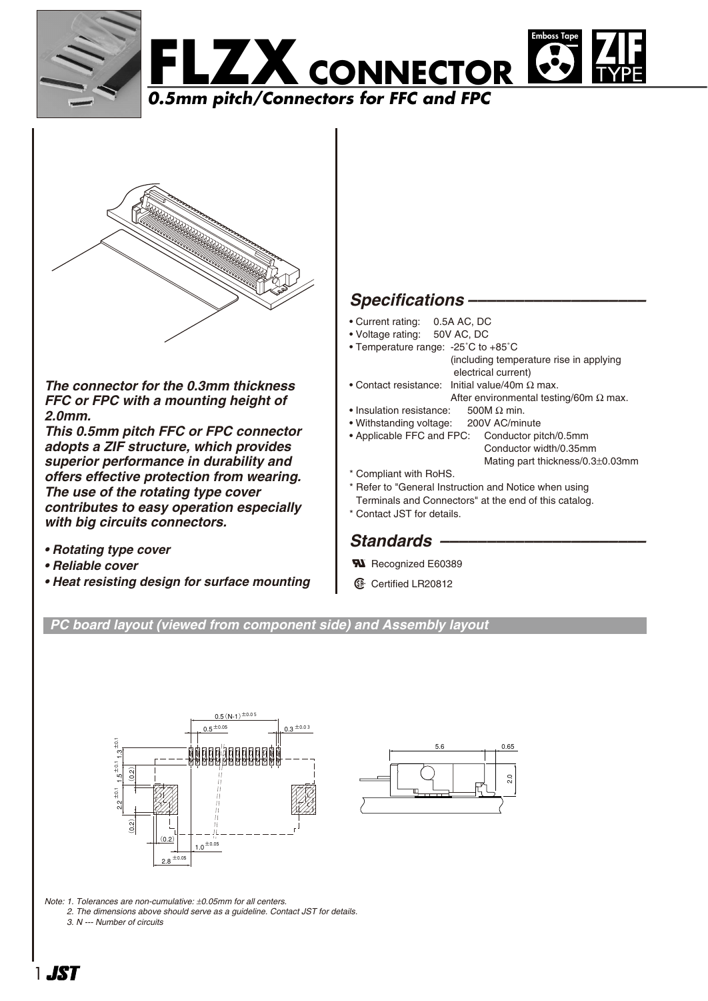



*The connector for the 0.3mm thickness FFC or FPC with a mounting height of 2.0mm.*

*This 0.5mm pitch FFC or FPC connector adopts a ZIF structure, which provides superior performance in durability and offers effective protection from wearing. The use of the rotating type cover contributes to easy operation especially with big circuits connectors.*

- *Rotating type cover*
- *Reliable cover*
- *Heat resisting design for surface mounting*

## *Specifications –––––––––––––––––––*

- Current rating: 0.5A AC, DC
- Voltage rating: 50V AC, DC
- Temperature range: -25˚C to +85˚C (including temperature rise in applying electrical current)
- Contact resistance: Initial value/40m Ω max. After environmental testing/60m  $\Omega$  max.
- Insulation resistance:  $500M \Omega$  min.
- Withstanding voltage: 200V AC/minute
- Applicable FFC and FPC: Conductor pitch/0.5mm Conductor width/0.35mm Mating part thickness/0.3±0.03mm
- \* Compliant with RoHS.
- \* Refer to "General Instruction and Notice when using
- Terminals and Connectors" at the end of this catalog.
- \* Contact JST for details.

## Standards –

- **R** Recognized E60389
- **1** Certified LR20812

## *PC board layout (viewed from component side) and Assembly layout*





*Note: 1. Tolerances are non-cumulative:* ±*0.05mm for all centers.*

*2. The dimensions above should serve as a guideline. Contact JST for details.*

*3. N --- Number of circuits*